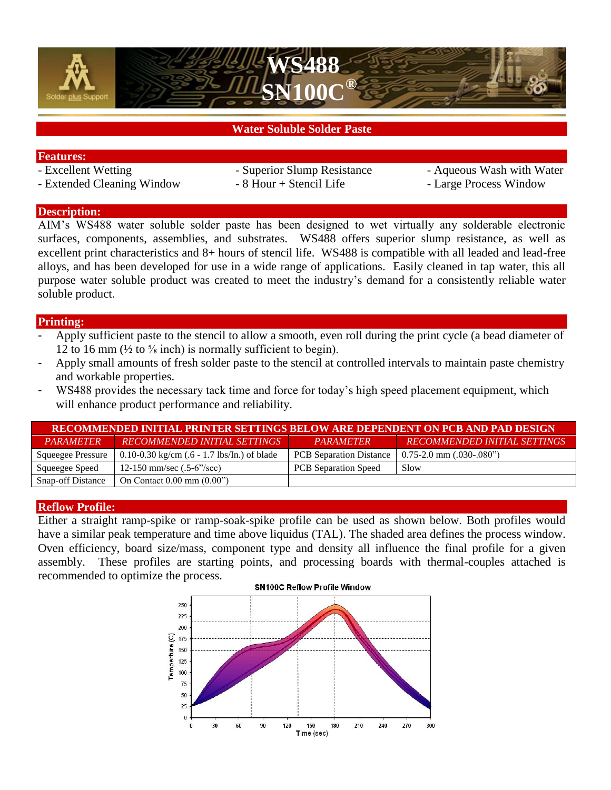



# **Water Soluble Solder Paste**

### **Features:**

- 
- Extended Cleaning Window 8 Hour + Stencil Life Large Process Window
- 
- Excellent Wetting Superior Slump Resistance Aqueous Wash with Water
	-

## **Description:**

AIM's WS488 water soluble solder paste has been designed to wet virtually any solderable electronic surfaces, components, assemblies, and substrates. WS488 offers superior slump resistance, as well as excellent print characteristics and 8+ hours of stencil life. WS488 is compatible with all leaded and lead-free alloys, and has been developed for use in a wide range of applications. Easily cleaned in tap water, this all purpose water soluble product was created to meet the industry's demand for a consistently reliable water soluble product.

## **Printing:**

- Apply sufficient paste to the stencil to allow a smooth, even roll during the print cycle (a bead diameter of 12 to 16 mm  $\left(\frac{1}{2}\right)$  to  $\frac{5}{8}$  inch) is normally sufficient to begin.
- Apply small amounts of fresh solder paste to the stencil at controlled intervals to maintain paste chemistry and workable properties.
- WS488 provides the necessary tack time and force for today's high speed placement equipment, which will enhance product performance and reliability.

| RECOMMENDED INITIAL PRINTER SETTINGS BELOW ARE DEPENDENT ON PCB AND PAD DESIGN |                                                       |                                |                                     |  |  |  |  |
|--------------------------------------------------------------------------------|-------------------------------------------------------|--------------------------------|-------------------------------------|--|--|--|--|
| <i><b>PARAMETER</b></i>                                                        | RECOMMENDED INITIAL SETTINGS                          | PARAMETER                      | <b>RECOMMENDED INITIAL SETTINGS</b> |  |  |  |  |
| <b>Squeegee Pressure</b>                                                       | 0.10-0.30 kg/cm $(.6 - 1.7 \text{ lbs/In.})$ of blade | <b>PCB</b> Separation Distance | $0.75-2.0$ mm $(.030-.080")$        |  |  |  |  |
| Squeegee Speed                                                                 | 12-150 mm/sec $(.5-6^{\prime\prime}/sec)$             | <b>PCB</b> Separation Speed    | Slow                                |  |  |  |  |
| <b>Snap-off Distance</b>                                                       | On Contact $0.00 \text{ mm}$ $(0.00")$                |                                |                                     |  |  |  |  |

## **Reflow Profile:**

Either a straight ramp-spike or ramp-soak-spike profile can be used as shown below. Both profiles would have a similar peak temperature and time above liquidus (TAL). The shaded area defines the process window. Oven efficiency, board size/mass, component type and density all influence the final profile for a given assembly. These profiles are starting points, and processing boards with thermal-couples attached is recommended to optimize the process.

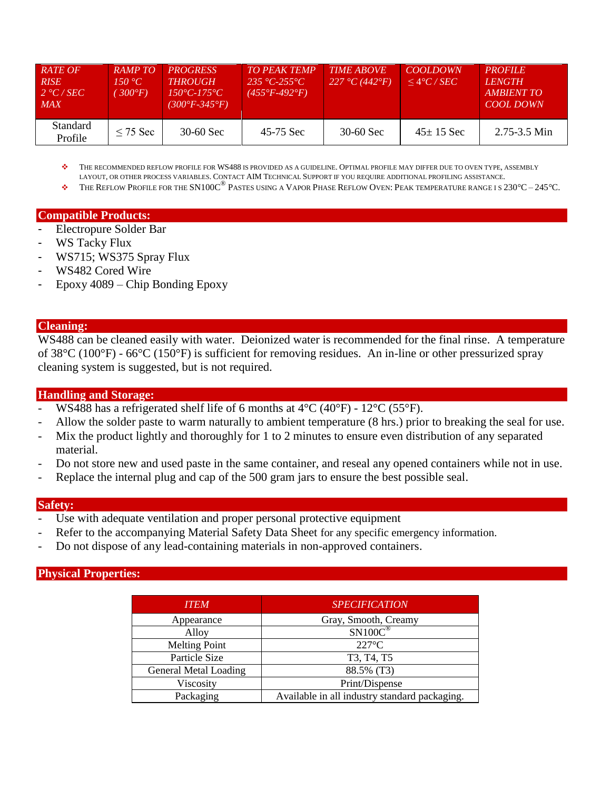| RATE OF<br><b>RISE</b><br>2 °C/SEC<br><b>MAX</b> | <b>RAMPTO</b><br>150 °C $\overline{C}$<br>$300^{\circ}F$ | <b>PROGRESS</b><br><b>THROUGH</b><br>$150^{\circ}C - 175^{\circ}C$<br>(300°F-345°F). | <b>TO PEAK TEMP</b><br>$235 °C - 255 °C$<br>$(455^{\circ}F - 492^{\circ}F)$ | <b>TIME ABOVE</b><br>227 °C (442 °F) | <b>COOLDOWN</b><br>$\leq$ 4°C / SEC | <b>PROFILE</b><br><i>LENGTH</i><br>AMBIENT TO<br>COOL DOWN |
|--------------------------------------------------|----------------------------------------------------------|--------------------------------------------------------------------------------------|-----------------------------------------------------------------------------|--------------------------------------|-------------------------------------|------------------------------------------------------------|
| Standard<br>Profile                              | $\leq$ 75 Sec                                            | $30-60$ Sec                                                                          | 45-75 Sec                                                                   | $30-60$ Sec                          | $45 \pm 15$ Sec                     | $2.75 - 3.5$ Min                                           |

 THE RECOMMENDED REFLOW PROFILE FOR WS488 IS PROVIDED AS A GUIDELINE. OPTIMAL PROFILE MAY DIFFER DUE TO OVEN TYPE, ASSEMBLY LAYOUT, OR OTHER PROCESS VARIABLES. CONTACT AIM TECHNICAL SUPPORT IF YOU REQUIRE ADDITIONAL PROFILING ASSISTANCE.

THE REFLOW PROFILE FOR THE SN100C® PASTES USING A VAPOR PHASE REFLOW OVEN: PEAK TEMPERATURE RANGE I S 230*°*C – 245*°*C.

### **Compatible Products:**

- Electropure Solder Bar
- WS Tacky Flux
- WS715; WS375 Spray Flux
- WS482 Cored Wire
- Epoxy 4089 Chip Bonding Epoxy

#### **Cleaning:**

WS488 can be cleaned easily with water. Deionized water is recommended for the final rinse. A temperature of 38°C (100°F) - 66°C (150°F) is sufficient for removing residues. An in-line or other pressurized spray cleaning system is suggested, but is not required.

## **Handling and Storage:**

- WS488 has a refrigerated shelf life of 6 months at  $4^{\circ}C$  (40 $^{\circ}F$ ) 12 $^{\circ}C$  (55 $^{\circ}F$ ).
- Allow the solder paste to warm naturally to ambient temperature (8 hrs.) prior to breaking the seal for use.
- Mix the product lightly and thoroughly for 1 to 2 minutes to ensure even distribution of any separated material.
- Do not store new and used paste in the same container, and reseal any opened containers while not in use.
- Replace the internal plug and cap of the 500 gram jars to ensure the best possible seal.

### **Safety:**

- Use with adequate ventilation and proper personal protective equipment
- Refer to the accompanying Material Safety Data Sheet for any specific emergency information.
- Do not dispose of any lead-containing materials in non-approved containers.

### **Physical Properties:**

| <b>ITEM</b>                  | <b>SPECIFICATION</b>                          |  |
|------------------------------|-----------------------------------------------|--|
| Appearance                   | Gray, Smooth, Creamy                          |  |
| Alloy                        | $SN100C$ <sup>®</sup>                         |  |
| <b>Melting Point</b>         | $227^{\circ}$ C                               |  |
| Particle Size                | T3, T4, T5                                    |  |
| <b>General Metal Loading</b> | 88.5% (T3)                                    |  |
| Viscosity                    | Print/Dispense                                |  |
| Packaging                    | Available in all industry standard packaging. |  |